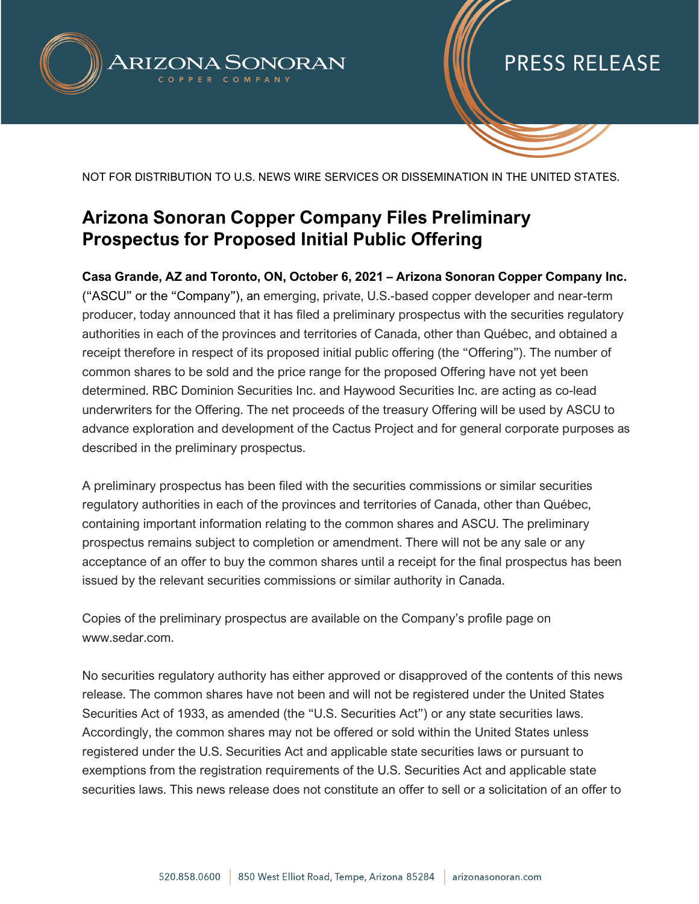

### PRESS RELEASE

NOT FOR DISTRIBUTION TO U.S. NEWS WIRE SERVICES OR DISSEMINATION IN THE UNITED STATES.

### **Arizona Sonoran Copper Company Files Preliminary Prospectus for Proposed Initial Public Offering**

**Casa Grande, AZ and Toronto, ON, October 6, 2021 – Arizona Sonoran Copper Company Inc.**  ("ASCU" or the "Company"), an emerging, private, U.S.-based copper developer and near-term producer, today announced that it has filed a preliminary prospectus with the securities regulatory authorities in each of the provinces and territories of Canada, other than Québec, and obtained a receipt therefore in respect of its proposed initial public offering (the "Offering"). The number of common shares to be sold and the price range for the proposed Offering have not yet been determined. RBC Dominion Securities Inc. and Haywood Securities Inc. are acting as co-lead underwriters for the Offering. The net proceeds of the treasury Offering will be used by ASCU to advance exploration and development of the Cactus Project and for general corporate purposes as described in the preliminary prospectus.

A preliminary prospectus has been filed with the securities commissions or similar securities regulatory authorities in each of the provinces and territories of Canada, other than Québec, containing important information relating to the common shares and ASCU. The preliminary prospectus remains subject to completion or amendment. There will not be any sale or any acceptance of an offer to buy the common shares until a receipt for the final prospectus has been issued by the relevant securities commissions or similar authority in Canada.

Copies of the preliminary prospectus are available on the Company's profile page on www.sedar.com.

No securities regulatory authority has either approved or disapproved of the contents of this news release. The common shares have not been and will not be registered under the United States Securities Act of 1933, as amended (the "U.S. Securities Act") or any state securities laws. Accordingly, the common shares may not be offered or sold within the United States unless registered under the U.S. Securities Act and applicable state securities laws or pursuant to exemptions from the registration requirements of the U.S. Securities Act and applicable state securities laws. This news release does not constitute an offer to sell or a solicitation of an offer to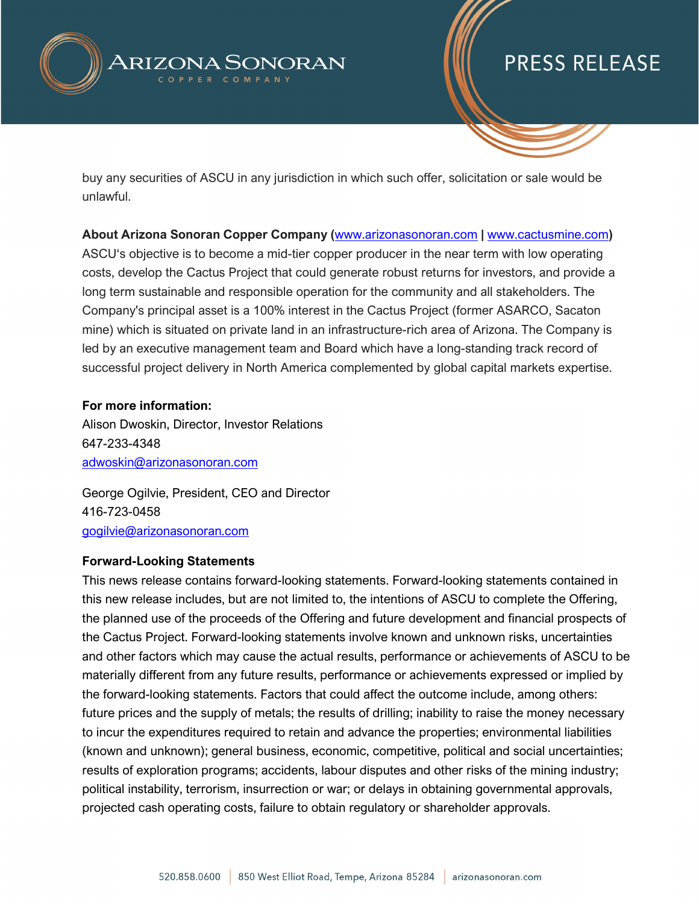

# **PRESS RELEASE**

buy any securities of ASCU in any jurisdiction in which such offer, solicitation or sale would be unlawful.

**About Arizona Sonoran Copper Company (**[www.arizonasonoran.com](http://www.arizonasonoran.com/) **|** [www.cactusmine.com](http://www.cactusmine.com/)**)** ASCU's objective is to become a mid-tier copper producer in the near term with low operating costs, develop the Cactus Project that could generate robust returns for investors, and provide a long term sustainable and responsible operation for the community and all stakeholders. The Company's principal asset is a 100% interest in the Cactus Project (former ASARCO, Sacaton mine) which is situated on private land in an infrastructure-rich area of Arizona. The Company is led by an executive management team and Board which have a long-standing track record of successful project delivery in North America complemented by global capital markets expertise.

### **For more information:**

Alison Dwoskin, Director, Investor Relations 647-233-4348 [adwoskin@arizonasonoran.com](mailto:adwoskin@arizonasonoran.com)

George Ogilvie, President, CEO and Director 416-723-0458 [gogilvie@arizonasonoran.com](mailto:gogilvie@arizonasonoran.com)

#### **Forward-Looking Statements**

This news release contains forward-looking statements. Forward-looking statements contained in this new release includes, but are not limited to, the intentions of ASCU to complete the Offering, the planned use of the proceeds of the Offering and future development and financial prospects of the Cactus Project. Forward-looking statements involve known and unknown risks, uncertainties and other factors which may cause the actual results, performance or achievements of ASCU to be materially different from any future results, performance or achievements expressed or implied by the forward-looking statements. Factors that could affect the outcome include, among others: future prices and the supply of metals; the results of drilling; inability to raise the money necessary to incur the expenditures required to retain and advance the properties; environmental liabilities (known and unknown); general business, economic, competitive, political and social uncertainties; results of exploration programs; accidents, labour disputes and other risks of the mining industry; political instability, terrorism, insurrection or war; or delays in obtaining governmental approvals, projected cash operating costs, failure to obtain regulatory or shareholder approvals.